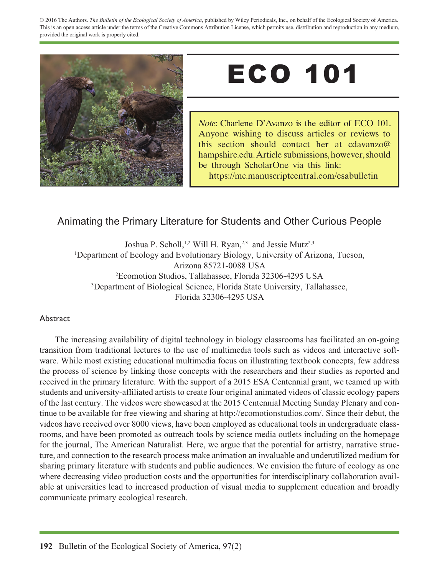© 2016 The Authors. *The Bulletin of the Ecological Society of America*, published by Wiley Periodicals, Inc., on behalf of the Ecological Society of America. This is an open access article under the terms of the Creative Commons Attribution License, which permits use, distribution and reproduction in any medium, provided the original work is properly cited.



# ECO 101

*Note*: Charlene D'Avanzo is the editor of ECO 101. Anyone wishing to discuss articles or reviews to this section should contact her at cdavanzo@ hampshire.edu. Article submissions, however, should be through ScholarOne via this link: https://mc.manuscriptcentral.com/esabulletin

# Animating the Primary Literature for Students and Other Curious People

Joshua P. Scholl,<sup>1,2</sup> Will H. Ryan,<sup>2,3</sup> and Jessie Mutz<sup>2,3</sup> <sup>1</sup>Department of Ecology and Evolutionary Biology, University of Arizona, Tucson, Arizona 85721-0088 USA 2 Ecomotion Studios, Tallahassee, Florida 32306-4295 USA 3 Department of Biological Science, Florida State University, Tallahassee, Florida 32306-4295 USA

# **Abstract**

 The increasing availability of digital technology in biology classrooms has facilitated an on-going transition from traditional lectures to the use of multimedia tools such as videos and interactive software. While most existing educational multimedia focus on illustrating textbook concepts, few address the process of science by linking those concepts with the researchers and their studies as reported and received in the primary literature. With the support of a 2015 ESA Centennial grant, we teamed up with students and university-affiliated artists to create four original animated videos of classic ecology papers of the last century. The videos were showcased at the 2015 Centennial Meeting Sunday Plenary and continue to be available for free viewing and sharing at [http://ecomotionstudios.com/.](http://ecomotionstudios.com/) Since their debut, the videos have received over 8000 views, have been employed as educational tools in undergraduate classrooms, and have been promoted as outreach tools by science media outlets including on the homepage for the journal, The American Naturalist. Here, we argue that the potential for artistry, narrative structure, and connection to the research process make animation an invaluable and underutilized medium for sharing primary literature with students and public audiences. We envision the future of ecology as one where decreasing video production costs and the opportunities for interdisciplinary collaboration available at universities lead to increased production of visual media to supplement education and broadly communicate primary ecological research.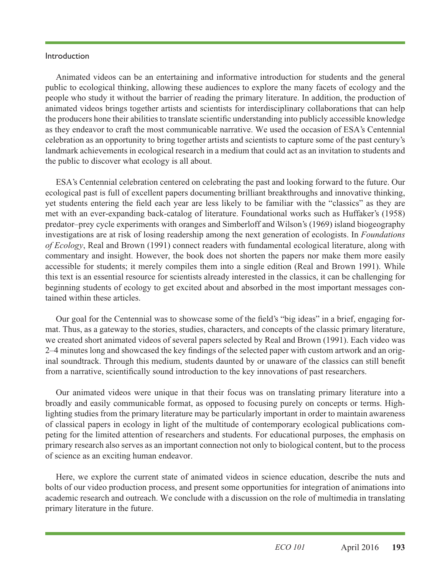# Introduction

Animated videos can be an entertaining and informative introduction for students and the general public to ecological thinking, allowing these audiences to explore the many facets of ecology and the people who study it without the barrier of reading the primary literature. In addition, the production of animated videos brings together artists and scientists for interdisciplinary collaborations that can help the producers hone their abilities to translate scientific understanding into publicly accessible knowledge as they endeavor to craft the most communicable narrative. We used the occasion of ESA's Centennial celebration as an opportunity to bring together artists and scientists to capture some of the past century's landmark achievements in ecological research in a medium that could act as an invitation to students and the public to discover what ecology is all about.

ESA's Centennial celebration centered on celebrating the past and looking forward to the future. Our ecological past is full of excellent papers documenting brilliant breakthroughs and innovative thinking, yet students entering the field each year are less likely to be familiar with the "classics" as they are met with an ever-expanding back-catalog of literature. Foundational works such as Huffaker's (1958) predator–prey cycle experiments with oranges and Simberloff and Wilson's (1969) island biogeography investigations are at risk of losing readership among the next generation of ecologists. In *Foundations of Ecology*, Real and Brown (1991) connect readers with fundamental ecological literature, along with commentary and insight. However, the book does not shorten the papers nor make them more easily accessible for students; it merely compiles them into a single edition (Real and Brown 1991). While this text is an essential resource for scientists already interested in the classics, it can be challenging for beginning students of ecology to get excited about and absorbed in the most important messages contained within these articles.

Our goal for the Centennial was to showcase some of the field's "big ideas" in a brief, engaging format. Thus, as a gateway to the stories, studies, characters, and concepts of the classic primary literature, we created short animated videos of several papers selected by Real and Brown (1991). Each video was 2–4 minutes long and showcased the key findings of the selected paper with custom artwork and an original soundtrack. Through this medium, students daunted by or unaware of the classics can still benefit from a narrative, scientifically sound introduction to the key innovations of past researchers.

Our animated videos were unique in that their focus was on translating primary literature into a broadly and easily communicable format, as opposed to focusing purely on concepts or terms. Highlighting studies from the primary literature may be particularly important in order to maintain awareness of classical papers in ecology in light of the multitude of contemporary ecological publications competing for the limited attention of researchers and students. For educational purposes, the emphasis on primary research also serves as an important connection not only to biological content, but to the process of science as an exciting human endeavor.

Here, we explore the current state of animated videos in science education, describe the nuts and bolts of our video production process, and present some opportunities for integration of animations into academic research and outreach. We conclude with a discussion on the role of multimedia in translating primary literature in the future.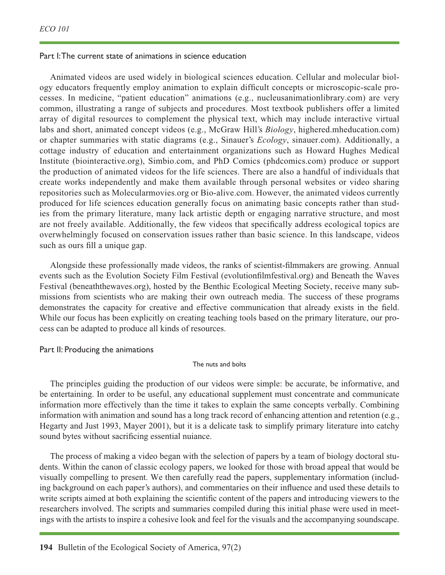# Part I: The current state of animations in science education

Animated videos are used widely in biological sciences education. Cellular and molecular biology educators frequently employ animation to explain difficult concepts or microscopic-scale processes. In medicine, "patient education" animations (e.g., nucleusanimationlibrary.com) are very common, illustrating a range of subjects and procedures. Most textbook publishers offer a limited array of digital resources to complement the physical text, which may include interactive virtual labs and short, animated concept videos (e.g., McGraw Hill's *Biology*, highered.mheducation.com) or chapter summaries with static diagrams (e.g., Sinauer's *Ecology*, sinauer.com). Additionally, a cottage industry of education and entertainment organizations such as Howard Hughes Medical Institute (biointeractive.org), Simbio.com, and PhD Comics (phdcomics.com) produce or support the production of animated videos for the life sciences. There are also a handful of individuals that create works independently and make them available through personal websites or video sharing repositories such as Molecularmovies.org or Bio-alive.com. However, the animated videos currently produced for life sciences education generally focus on animating basic concepts rather than studies from the primary literature, many lack artistic depth or engaging narrative structure, and most are not freely available. Additionally, the few videos that specifically address ecological topics are overwhelmingly focused on conservation issues rather than basic science. In this landscape, videos such as ours fill a unique gap.

Alongside these professionally made videos, the ranks of scientist-filmmakers are growing. Annual events such as the Evolution Society Film Festival (evolutionfilmfestival.org) and Beneath the Waves Festival (beneaththewaves.org), hosted by the Benthic Ecological Meeting Society, receive many submissions from scientists who are making their own outreach media. The success of these programs demonstrates the capacity for creative and effective communication that already exists in the field. While our focus has been explicitly on creating teaching tools based on the primary literature, our process can be adapted to produce all kinds of resources.

# Part II: Producing the animations

#### The nuts and bolts

The principles guiding the production of our videos were simple: be accurate, be informative, and be entertaining. In order to be useful, any educational supplement must concentrate and communicate information more effectively than the time it takes to explain the same concepts verbally. Combining information with animation and sound has a long track record of enhancing attention and retention (e.g., Hegarty and Just 1993, Mayer 2001), but it is a delicate task to simplify primary literature into catchy sound bytes without sacrificing essential nuiance.

The process of making a video began with the selection of papers by a team of biology doctoral students. Within the canon of classic ecology papers, we looked for those with broad appeal that would be visually compelling to present. We then carefully read the papers, supplementary information (including background on each paper's authors), and commentaries on their influence and used these details to write scripts aimed at both explaining the scientific content of the papers and introducing viewers to the researchers involved. The scripts and summaries compiled during this initial phase were used in meetings with the artists to inspire a cohesive look and feel for the visuals and the accompanying soundscape.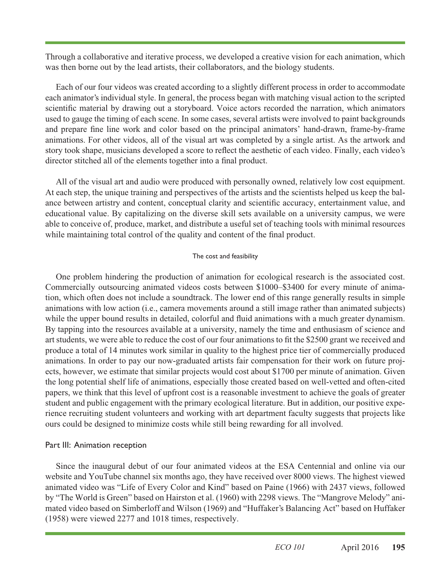Through a collaborative and iterative process, we developed a creative vision for each animation, which was then borne out by the lead artists, their collaborators, and the biology students.

Each of our four videos was created according to a slightly different process in order to accommodate each animator's individual style. In general, the process began with matching visual action to the scripted scientific material by drawing out a storyboard. Voice actors recorded the narration, which animators used to gauge the timing of each scene. In some cases, several artists were involved to paint backgrounds and prepare fine line work and color based on the principal animators' hand-drawn, frame-by-frame animations. For other videos, all of the visual art was completed by a single artist. As the artwork and story took shape, musicians developed a score to reflect the aesthetic of each video. Finally, each video's director stitched all of the elements together into a final product.

All of the visual art and audio were produced with personally owned, relatively low cost equipment. At each step, the unique training and perspectives of the artists and the scientists helped us keep the balance between artistry and content, conceptual clarity and scientific accuracy, entertainment value, and educational value. By capitalizing on the diverse skill sets available on a university campus, we were able to conceive of, produce, market, and distribute a useful set of teaching tools with minimal resources while maintaining total control of the quality and content of the final product.

#### The cost and feasibility

One problem hindering the production of animation for ecological research is the associated cost. Commercially outsourcing animated videos costs between \$1000–\$3400 for every minute of animation, which often does not include a soundtrack. The lower end of this range generally results in simple animations with low action (i.e., camera movements around a still image rather than animated subjects) while the upper bound results in detailed, colorful and fluid animations with a much greater dynamism. By tapping into the resources available at a university, namely the time and enthusiasm of science and art students, we were able to reduce the cost of our four animations to fit the \$2500 grant we received and produce a total of 14 minutes work similar in quality to the highest price tier of commercially produced animations. In order to pay our now-graduated artists fair compensation for their work on future projects, however, we estimate that similar projects would cost about \$1700 per minute of animation. Given the long potential shelf life of animations, especially those created based on well-vetted and often-cited papers, we think that this level of upfront cost is a reasonable investment to achieve the goals of greater student and public engagement with the primary ecological literature. But in addition, our positive experience recruiting student volunteers and working with art department faculty suggests that projects like ours could be designed to minimize costs while still being rewarding for all involved.

# Part III: Animation reception

Since the inaugural debut of our four animated videos at the ESA Centennial and online via our website and YouTube channel six months ago, they have received over 8000 views. The highest viewed animated video was "Life of Every Color and Kind" based on Paine (1966) with 2437 views, followed by "The World is Green" based on Hairston et al. (1960) with 2298 views. The "Mangrove Melody" animated video based on Simberloff and Wilson (1969) and "Huffaker's Balancing Act" based on Huffaker (1958) were viewed 2277 and 1018 times, respectively.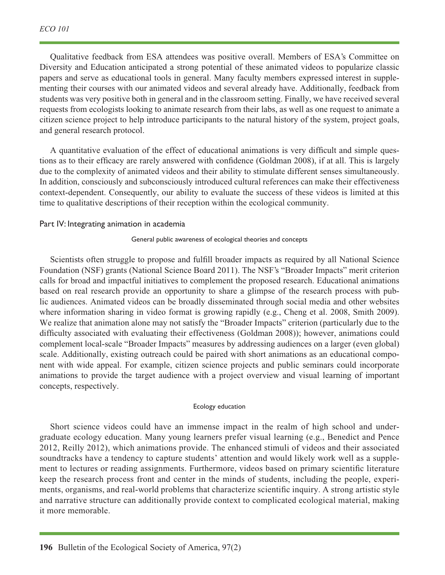Qualitative feedback from ESA attendees was positive overall. Members of ESA's Committee on Diversity and Education anticipated a strong potential of these animated videos to popularize classic papers and serve as educational tools in general. Many faculty members expressed interest in supplementing their courses with our animated videos and several already have. Additionally, feedback from students was very positive both in general and in the classroom setting. Finally, we have received several requests from ecologists looking to animate research from their labs, as well as one request to animate a citizen science project to help introduce participants to the natural history of the system, project goals, and general research protocol.

A quantitative evaluation of the effect of educational animations is very difficult and simple questions as to their efficacy are rarely answered with confidence (Goldman 2008), if at all. This is largely due to the complexity of animated videos and their ability to stimulate different senses simultaneously. In addition, consciously and subconsciously introduced cultural references can make their effectiveness context-dependent. Consequently, our ability to evaluate the success of these videos is limited at this time to qualitative descriptions of their reception within the ecological community.

# Part IV: Integrating animation in academia

#### General public awareness of ecological theories and concepts

Scientists often struggle to propose and fulfill broader impacts as required by all National Science Foundation (NSF) grants (National Science Board 2011). The NSF's "Broader Impacts" merit criterion calls for broad and impactful initiatives to complement the proposed research. Educational animations based on real research provide an opportunity to share a glimpse of the research process with public audiences. Animated videos can be broadly disseminated through social media and other websites where information sharing in video format is growing rapidly (e.g., Cheng et al. 2008, Smith 2009). We realize that animation alone may not satisfy the "Broader Impacts" criterion (particularly due to the difficulty associated with evaluating their effectiveness (Goldman 2008)); however, animations could complement local-scale "Broader Impacts" measures by addressing audiences on a larger (even global) scale. Additionally, existing outreach could be paired with short animations as an educational component with wide appeal. For example, citizen science projects and public seminars could incorporate animations to provide the target audience with a project overview and visual learning of important concepts, respectively.

#### Ecology education

Short science videos could have an immense impact in the realm of high school and undergraduate ecology education. Many young learners prefer visual learning (e.g., Benedict and Pence 2012, Reilly 2012), which animations provide. The enhanced stimuli of videos and their associated soundtracks have a tendency to capture students' attention and would likely work well as a supplement to lectures or reading assignments. Furthermore, videos based on primary scientific literature keep the research process front and center in the minds of students, including the people, experiments, organisms, and real-world problems that characterize scientific inquiry. A strong artistic style and narrative structure can additionally provide context to complicated ecological material, making it more memorable.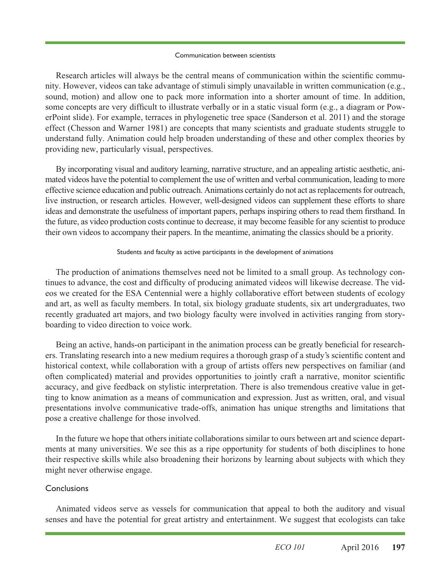#### Communication between scientists

Research articles will always be the central means of communication within the scientific community. However, videos can take advantage of stimuli simply unavailable in written communication (e.g., sound, motion) and allow one to pack more information into a shorter amount of time. In addition, some concepts are very difficult to illustrate verbally or in a static visual form (e.g., a diagram or PowerPoint slide). For example, terraces in phylogenetic tree space (Sanderson et al. 2011) and the storage effect (Chesson and Warner 1981) are concepts that many scientists and graduate students struggle to understand fully. Animation could help broaden understanding of these and other complex theories by providing new, particularly visual, perspectives.

By incorporating visual and auditory learning, narrative structure, and an appealing artistic aesthetic, animated videos have the potential to complement the use of written and verbal communication, leading to more effective science education and public outreach. Animations certainly do not act as replacements for outreach, live instruction, or research articles. However, well-designed videos can supplement these efforts to share ideas and demonstrate the usefulness of important papers, perhaps inspiring others to read them firsthand. In the future, as video production costs continue to decrease, it may become feasible for any scientist to produce their own videos to accompany their papers. In the meantime, animating the classics should be a priority.

#### Students and faculty as active participants in the development of animations

The production of animations themselves need not be limited to a small group. As technology continues to advance, the cost and difficulty of producing animated videos will likewise decrease. The videos we created for the ESA Centennial were a highly collaborative effort between students of ecology and art, as well as faculty members. In total, six biology graduate students, six art undergraduates, two recently graduated art majors, and two biology faculty were involved in activities ranging from storyboarding to video direction to voice work.

Being an active, hands-on participant in the animation process can be greatly beneficial for researchers. Translating research into a new medium requires a thorough grasp of a study's scientific content and historical context, while collaboration with a group of artists offers new perspectives on familiar (and often complicated) material and provides opportunities to jointly craft a narrative, monitor scientific accuracy, and give feedback on stylistic interpretation. There is also tremendous creative value in getting to know animation as a means of communication and expression. Just as written, oral, and visual presentations involve communicative trade-offs, animation has unique strengths and limitations that pose a creative challenge for those involved.

In the future we hope that others initiate collaborations similar to ours between art and science departments at many universities. We see this as a ripe opportunity for students of both disciplines to hone their respective skills while also broadening their horizons by learning about subjects with which they might never otherwise engage.

# **Conclusions**

Animated videos serve as vessels for communication that appeal to both the auditory and visual senses and have the potential for great artistry and entertainment. We suggest that ecologists can take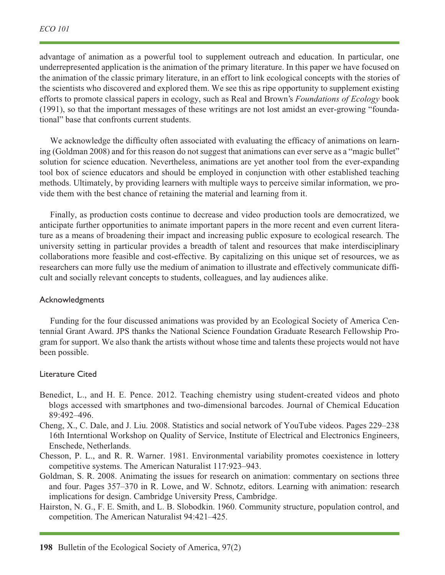advantage of animation as a powerful tool to supplement outreach and education. In particular, one underrepresented application is the animation of the primary literature. In this paper we have focused on the animation of the classic primary literature, in an effort to link ecological concepts with the stories of the scientists who discovered and explored them. We see this as ripe opportunity to supplement existing efforts to promote classical papers in ecology, such as Real and Brown's *Foundations of Ecology* book (1991), so that the important messages of these writings are not lost amidst an ever-growing "foundational" base that confronts current students.

We acknowledge the difficulty often associated with evaluating the efficacy of animations on learning (Goldman 2008) and for this reason do not suggest that animations can ever serve as a "magic bullet" solution for science education. Nevertheless, animations are yet another tool from the ever-expanding tool box of science educators and should be employed in conjunction with other established teaching methods. Ultimately, by providing learners with multiple ways to perceive similar information, we provide them with the best chance of retaining the material and learning from it.

Finally, as production costs continue to decrease and video production tools are democratized, we anticipate further opportunities to animate important papers in the more recent and even current literature as a means of broadening their impact and increasing public exposure to ecological research. The university setting in particular provides a breadth of talent and resources that make interdisciplinary collaborations more feasible and cost-effective. By capitalizing on this unique set of resources, we as researchers can more fully use the medium of animation to illustrate and effectively communicate difficult and socially relevant concepts to students, colleagues, and lay audiences alike.

# Acknowledgments

Funding for the four discussed animations was provided by an Ecological Society of America Centennial Grant Award. JPS thanks the National Science Foundation Graduate Research Fellowship Program for support. We also thank the artists without whose time and talents these projects would not have been possible.

# Literature Cited

- Benedict, L., and H. E. Pence. 2012. Teaching chemistry using student-created videos and photo blogs accessed with smartphones and two-dimensional barcodes. Journal of Chemical Education 89:492–496.
- Cheng, X., C. Dale, and J. Liu. 2008. Statistics and social network of YouTube videos. Pages 229–238 16th Interntional Workshop on Quality of Service, Institute of Electrical and Electronics Engineers, Enschede, Netherlands.
- Chesson, P. L., and R. R. Warner. 1981. Environmental variability promotes coexistence in lottery competitive systems. The American Naturalist 117:923–943.
- Goldman, S. R. 2008. Animating the issues for research on animation: commentary on sections three and four. Pages 357–370 in R. Lowe, and W. Schnotz, editors. Learning with animation: research implications for design. Cambridge University Press, Cambridge.
- Hairston, N. G., F. E. Smith, and L. B. Slobodkin. 1960. Community structure, population control, and competition. The American Naturalist 94:421–425.